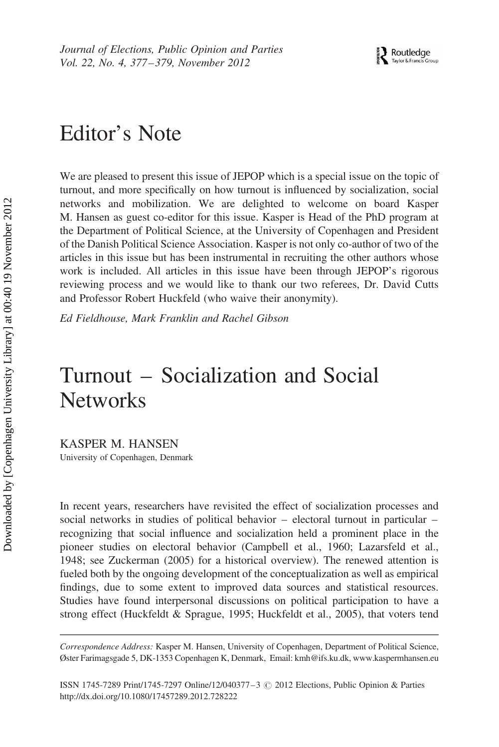## Editor's Note

We are pleased to present this issue of JEPOP which is a special issue on the topic of turnout, and more specifically on how turnout is influenced by socialization, social networks and mobilization. We are delighted to welcome on board Kasper M. Hansen as guest co-editor for this issue. Kasper is Head of the PhD program at the Department of Political Science, at the University of Copenhagen and President of the Danish Political Science Association. Kasper is not only co-author of two of the articles in this issue but has been instrumental in recruiting the other authors whose work is included. All articles in this issue have been through JEPOP's rigorous reviewing process and we would like to thank our two referees, Dr. David Cutts and Professor Robert Huckfeld (who waive their anonymity).

Ed Fieldhouse, Mark Franklin and Rachel Gibson

## Turnout – Socialization and Social **Networks**

KASPER M. HANSEN

University of Copenhagen, Denmark

In recent years, researchers have revisited the effect of socialization processes and social networks in studies of political behavior – electoral turnout in particular – recognizing that social influence and socialization held a prominent place in the pioneer studies on electoral behavior (Campbell et al., 1960; Lazarsfeld et al., 1948; see Zuckerman (2005) for a historical overview). The renewed attention is fueled both by the ongoing development of the conceptualization as well as empirical findings, due to some extent to improved data sources and statistical resources. Studies have found interpersonal discussions on political participation to have a strong effect (Huckfeldt & Sprague, 1995; Huckfeldt et al., 2005), that voters tend

Correspondence Address: Kasper M. Hansen, University of Copenhagen, Department of Political Science, Øster Farimagsgade 5, DK-1353 Copenhagen K, Denmark, Email: kmh@ifs.ku.dk, www.kaspermhansen.eu

ISSN 1745-7289 Print/1745-7297 Online/12/040377-3  $\odot$  2012 Elections, Public Opinion & Parties http://dx.doi.org/10.1080/17457289.2012.728222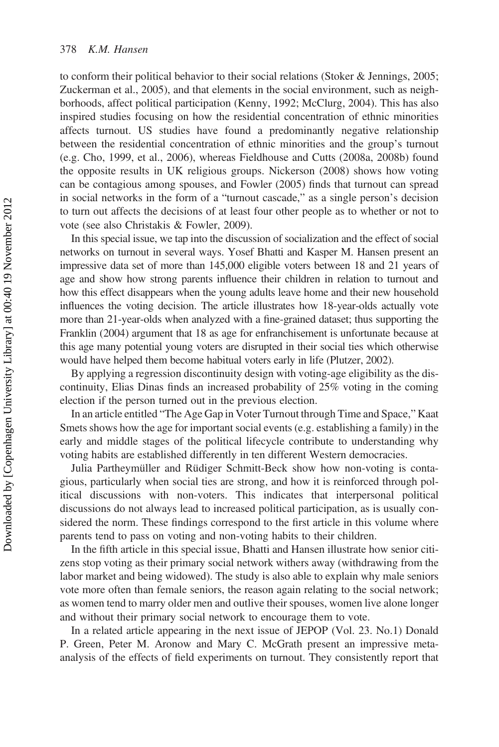to conform their political behavior to their social relations (Stoker & Jennings, 2005; Zuckerman et al., 2005), and that elements in the social environment, such as neighborhoods, affect political participation (Kenny, 1992; McClurg, 2004). This has also inspired studies focusing on how the residential concentration of ethnic minorities affects turnout. US studies have found a predominantly negative relationship between the residential concentration of ethnic minorities and the group's turnout (e.g. Cho, 1999, et al., 2006), whereas Fieldhouse and Cutts (2008a, 2008b) found the opposite results in UK religious groups. Nickerson (2008) shows how voting can be contagious among spouses, and Fowler (2005) finds that turnout can spread in social networks in the form of a "turnout cascade," as a single person's decision to turn out affects the decisions of at least four other people as to whether or not to vote (see also Christakis & Fowler, 2009).

In this special issue, we tap into the discussion of socialization and the effect of social networks on turnout in several ways. Yosef Bhatti and Kasper M. Hansen present an impressive data set of more than 145,000 eligible voters between 18 and 21 years of age and show how strong parents influence their children in relation to turnout and how this effect disappears when the young adults leave home and their new household influences the voting decision. The article illustrates how 18-year-olds actually vote more than 21-year-olds when analyzed with a fine-grained dataset; thus supporting the Franklin (2004) argument that 18 as age for enfranchisement is unfortunate because at this age many potential young voters are disrupted in their social ties which otherwise would have helped them become habitual voters early in life (Plutzer, 2002).

By applying a regression discontinuity design with voting-age eligibility as the discontinuity, Elias Dinas finds an increased probability of 25% voting in the coming election if the person turned out in the previous election.

In an article entitled "The Age Gap in Voter Turnout through Time and Space," Kaat Smets shows how the age for important social events (e.g. establishing a family) in the early and middle stages of the political lifecycle contribute to understanding why voting habits are established differently in ten different Western democracies.

Julia Partheymüller and Rüdiger Schmitt-Beck show how non-voting is contagious, particularly when social ties are strong, and how it is reinforced through political discussions with non-voters. This indicates that interpersonal political discussions do not always lead to increased political participation, as is usually considered the norm. These findings correspond to the first article in this volume where parents tend to pass on voting and non-voting habits to their children.

In the fifth article in this special issue, Bhatti and Hansen illustrate how senior citizens stop voting as their primary social network withers away (withdrawing from the labor market and being widowed). The study is also able to explain why male seniors vote more often than female seniors, the reason again relating to the social network; as women tend to marry older men and outlive their spouses, women live alone longer and without their primary social network to encourage them to vote.

In a related article appearing in the next issue of JEPOP (Vol. 23. No.1) Donald P. Green, Peter M. Aronow and Mary C. McGrath present an impressive metaanalysis of the effects of field experiments on turnout. They consistently report that